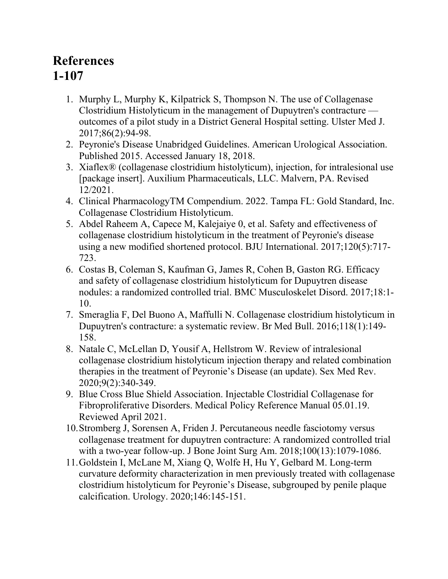## **References 1-107**

- 1. Murphy L, Murphy K, Kilpatrick S, Thompson N. The use of Collagenase Clostridium Histolyticum in the management of Dupuytren's contracture outcomes of a pilot study in a District General Hospital setting. Ulster Med J. 2017;86(2):94-98.
- 2. Peyronie's Disease Unabridged Guidelines. American Urological Association. Published 2015. Accessed January 18, 2018.
- 3. Xiaflex® (collagenase clostridium histolyticum), injection, for intralesional use [package insert]. Auxilium Pharmaceuticals, LLC. Malvern, PA. Revised 12/2021.
- 4. Clinical PharmacologyTM Compendium. 2022. Tampa FL: Gold Standard, Inc. Collagenase Clostridium Histolyticum.
- 5. Abdel Raheem A, Capece M, Kalejaiye 0, et al. Safety and effectiveness of collagenase clostridium histolyticum in the treatment of Peyronie's disease using a new modified shortened protocol. BJU International. 2017;120(5):717- 723.
- 6. Costas B, Coleman S, Kaufman G, James R, Cohen B, Gaston RG. Efficacy and safety of collagenase clostridium histolyticum for Dupuytren disease nodules: a randomized controlled trial. BMC Musculoskelet Disord. 2017;18:1- 10.
- 7. Smeraglia F, Del Buono A, Maffulli N. Collagenase clostridium histolyticum in Dupuytren's contracture: a systematic review. Br Med Bull. 2016;118(1):149- 158.
- 8. Natale C, McLellan D, Yousif A, Hellstrom W. Review of intralesional collagenase clostridium histolyticum injection therapy and related combination therapies in the treatment of Peyronie's Disease (an update). Sex Med Rev. 2020;9(2):340-349.
- 9. Blue Cross Blue Shield Association. Injectable Clostridial Collagenase for Fibroproliferative Disorders. Medical Policy Reference Manual 05.01.19. Reviewed April 2021.
- 10.Stromberg J, Sorensen A, Friden J. Percutaneous needle fasciotomy versus collagenase treatment for dupuytren contracture: A randomized controlled trial with a two-year follow-up. J Bone Joint Surg Am. 2018;100(13):1079-1086.
- 11.Goldstein I, McLane M, Xiang Q, Wolfe H, Hu Y, Gelbard M. Long-term curvature deformity characterization in men previously treated with collagenase clostridium histolyticum for Peyronie's Disease, subgrouped by penile plaque calcification. Urology. 2020;146:145-151.